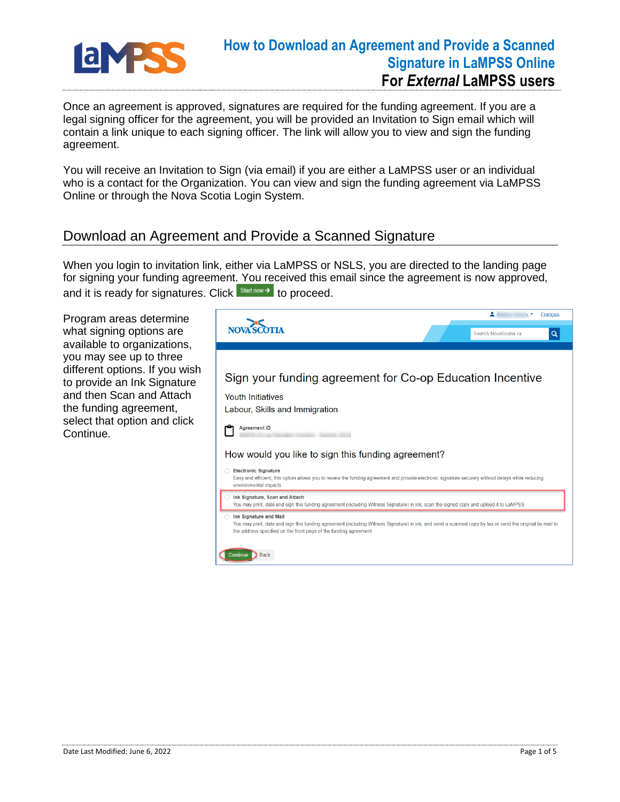

Once an agreement is approved, signatures are required for the funding agreement. If you are a legal signing officer for the agreement, you will be provided an Invitation to Sign email which will contain a link unique to each signing officer. The link will allow you to view and sign the funding agreement.

You will receive an Invitation to Sign (via email) if you are either a LaMPSS user or an individual who is a contact for the Organization. You can view and sign the funding agreement via LaMPSS Online or through the Nova Scotia Login System.

#### Download an Agreement and Provide a Scanned Signature

When you login to invitation link, either via LaMPSS or NSLS, you are directed to the landing page for signing your funding agreement. You received this email since the agreement is now approved, and it is ready for signatures. Click  $\frac{\text{Start now }\rightarrow\text{ to proceed.}}{\text{ot a}}$ 

Program areas determine what signing options are available to organizations, you may see up to three different options. If you wish to provide an Ink Signature and then Scan and Attach the funding agreement, select that option and click Continue.

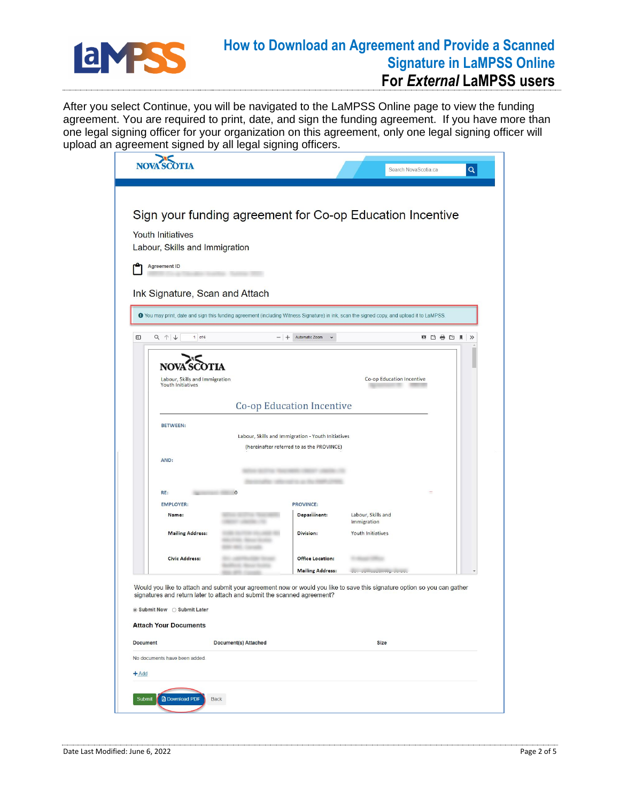

# **How to Download an Agreement and Provide a Scanned Signature in LaMPSS Online**

### **For** *External* **LaMPSS users**

After you select Continue, you will be navigated to the LaMPSS Online page to view the funding agreement. You are required to print, date, and sign the funding agreement. If you have more than one legal signing officer for your organization on this agreement, only one legal signing officer will upload an agreement signed by all legal signing officers.

|                 | <b>Youth Initiatives</b><br>Labour, Skills and Immigration<br><b>Agreement ID</b>                                          | Sign your funding agreement for Co-op Education Incentive                                                                                                                                           |                                                    |                                  |                       |
|-----------------|----------------------------------------------------------------------------------------------------------------------------|-----------------------------------------------------------------------------------------------------------------------------------------------------------------------------------------------------|----------------------------------------------------|----------------------------------|-----------------------|
|                 | Ink Signature, Scan and Attach                                                                                             | O You may print, date and sign this funding agreement (including Witness Signature) in ink, scan the signed copy, and upload it to LaMPSS.                                                          |                                                    |                                  |                       |
| O               | $Q \uparrow \downarrow$<br>$1$ of 6                                                                                        | $-$ +                                                                                                                                                                                               | Automatic Zoom<br>$\check{}$                       |                                  | ㅎ ㅎ ㅎ ㅎ<br>$\gg$<br>л |
|                 | Labour, Skills and Immigration<br>Youth Initiatives                                                                        |                                                                                                                                                                                                     | <b>Co-op Education Incentive</b>                   | Co-op Education Incentive        |                       |
|                 | <b>BETWEEN:</b><br>Labour, Skills and Immigration - Youth Initiatives<br>(hereinafter referred to as the PROVINCE)<br>AND: |                                                                                                                                                                                                     |                                                    |                                  |                       |
|                 | RE:<br><b>EMPLOYER:</b><br>Name:                                                                                           |                                                                                                                                                                                                     | <b>PROVINCE:</b><br>Depar nent:                    | Labour, Skills and               |                       |
|                 | <b>Mailing Address:</b>                                                                                                    | <b>COLORED AND AND INCOME.</b>                                                                                                                                                                      | <b>Division:</b>                                   | Immigration<br>Youth Initiatives |                       |
|                 | <b>Civic Address:</b>                                                                                                      |                                                                                                                                                                                                     | <b>Office Location:</b><br><b>Mailing Address:</b> | and anticipation provided        |                       |
|                 | $\circledcirc$ Submit Now $\circledcirc$ Submit Later<br><b>Attach Your Documents</b>                                      | Would you like to attach and submit your agreement now or would you like to save this signature option so you can gather<br>signatures and return later to attach and submit the scanned agreement? |                                                    |                                  |                       |
| <b>Document</b> |                                                                                                                            | Document(s) Attached                                                                                                                                                                                |                                                    | <b>Size</b>                      |                       |
| $+Add$          | No documents have been added.                                                                                              |                                                                                                                                                                                                     |                                                    |                                  |                       |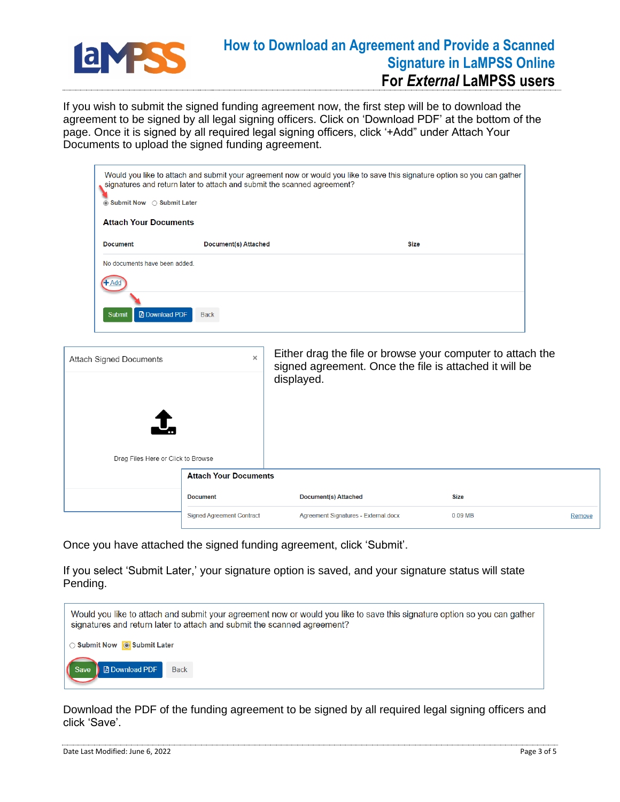

#### **How to Download an Agreement and Provide a Scanned Signature in LaMPSS Online For** *External* **LaMPSS users**

If you wish to submit the signed funding agreement now, the first step will be to download the agreement to be signed by all legal signing officers. Click on 'Download PDF' at the bottom of the page. Once it is signed by all required legal signing officers, click '+Add" under Attach Your Documents to upload the signed funding agreement.

|                                        | Would you like to attach and submit your agreement now or would you like to save this signature option so you can gather<br>signatures and return later to attach and submit the scanned agreement?<br>◉ Submit Now ○ Submit Later<br><b>Attach Your Documents</b> |                                                                      |             |  |  |  |  |
|----------------------------------------|--------------------------------------------------------------------------------------------------------------------------------------------------------------------------------------------------------------------------------------------------------------------|----------------------------------------------------------------------|-------------|--|--|--|--|
|                                        |                                                                                                                                                                                                                                                                    |                                                                      |             |  |  |  |  |
| <b>Document</b>                        | <b>Document(s) Attached</b>                                                                                                                                                                                                                                        | <b>Size</b>                                                          |             |  |  |  |  |
| No documents have been added.          |                                                                                                                                                                                                                                                                    |                                                                      |             |  |  |  |  |
|                                        |                                                                                                                                                                                                                                                                    |                                                                      |             |  |  |  |  |
| <b>A</b> Download PDF<br><b>Submit</b> | <b>Back</b>                                                                                                                                                                                                                                                        |                                                                      |             |  |  |  |  |
|                                        | $\times$                                                                                                                                                                                                                                                           | Either drag the file or browse your computer to attach the           |             |  |  |  |  |
| <b>Attach Signed Documents</b>         |                                                                                                                                                                                                                                                                    | signed agreement. Once the file is attached it will be<br>displayed. |             |  |  |  |  |
|                                        |                                                                                                                                                                                                                                                                    |                                                                      |             |  |  |  |  |
| Drag Files Here or Click to Browse     |                                                                                                                                                                                                                                                                    |                                                                      |             |  |  |  |  |
|                                        | <b>Attach Your Documents</b>                                                                                                                                                                                                                                       |                                                                      |             |  |  |  |  |
|                                        | <b>Document</b>                                                                                                                                                                                                                                                    | <b>Document(s) Attached</b>                                          | <b>Size</b> |  |  |  |  |

Once you have attached the signed funding agreement, click 'Submit'.

If you select 'Submit Later,' your signature option is saved, and your signature status will state Pending.

| Would you like to attach and submit your agreement now or would you like to save this signature option so you can gather<br>signatures and return later to attach and submit the scanned agreement? |  |
|-----------------------------------------------------------------------------------------------------------------------------------------------------------------------------------------------------|--|
| ◯ Submit Now   Submit Later                                                                                                                                                                         |  |
| Save<br><b>B</b> Download PDF<br><b>Back</b>                                                                                                                                                        |  |

Download the PDF of the funding agreement to be signed by all required legal signing officers and click 'Save'.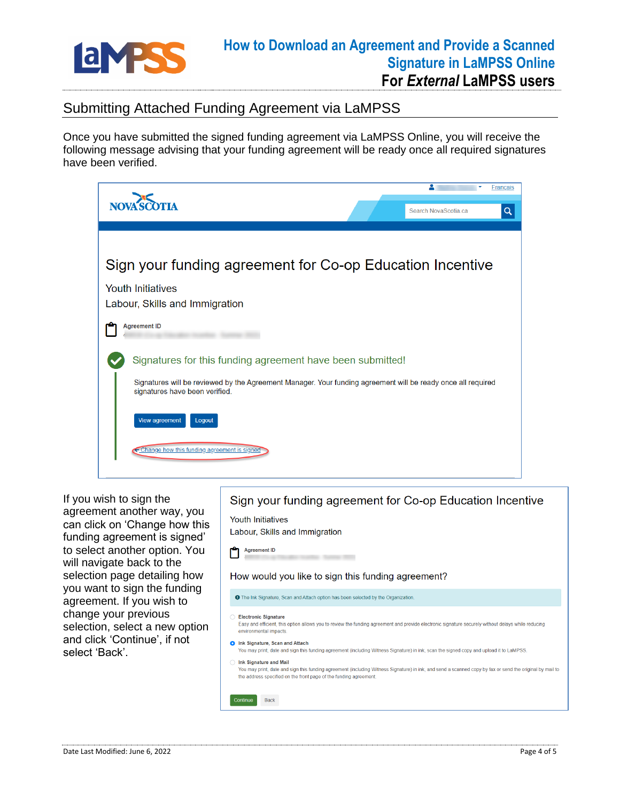

## Submitting Attached Funding Agreement via LaMPSS

Once you have submitted the signed funding agreement via LaMPSS Online, you will receive the following message advising that your funding agreement will be ready once all required signatures have been verified.



If you wish to sign the agreement another way, you can click on 'Change how this funding agreement is signed' to select another option. You will navigate back to the selection page detailing how you want to sign the funding agreement. If you wish to change your previous selection, select a new option and click 'Continue', if not select 'Back'.

#### Sign your funding agreement for Co-op Education Incentive

**Youth Initiatives** Labour, Skills and Immigration



#### How would you like to sign this funding agreement?

**O** The Ink Signature, Scan and Attach option has been selected by the Organization

Electronic Signature

Continue Back

- Easy and efficient, this option allows you to review the funding agreement and provide electronic signature securely without delays while reducing environmental impacts
- **O** Ink Signature, Scan and Attach
- You may print, date and sign this funding agreement (including Witness Signature) in ink, scan the signed copy and upload it to LaMPSS. nk Signature and Mail

You may print, date and sign this funding agreement (including Witness Signature) in ink, and send a scanned copy by fax or send the original by mail to the address specified on the front page of the funding agreemer